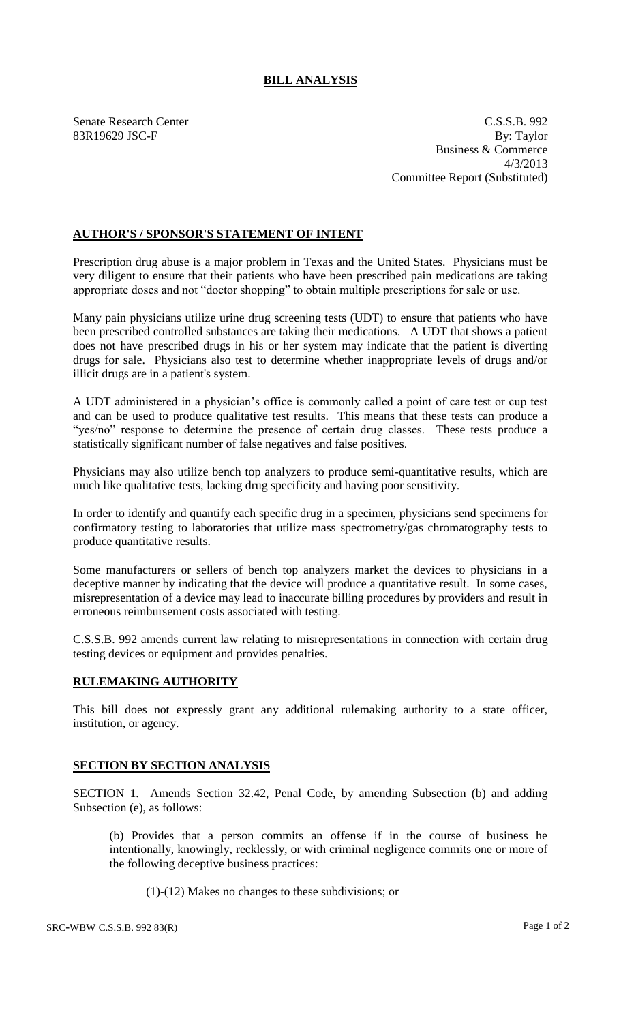## **BILL ANALYSIS**

Senate Research Center C.S.S.B. 992 83R19629 JSC-F By: Taylor Business & Commerce 4/3/2013 Committee Report (Substituted)

## **AUTHOR'S / SPONSOR'S STATEMENT OF INTENT**

Prescription drug abuse is a major problem in Texas and the United States. Physicians must be very diligent to ensure that their patients who have been prescribed pain medications are taking appropriate doses and not "doctor shopping" to obtain multiple prescriptions for sale or use.

Many pain physicians utilize urine drug screening tests (UDT) to ensure that patients who have been prescribed controlled substances are taking their medications. A UDT that shows a patient does not have prescribed drugs in his or her system may indicate that the patient is diverting drugs for sale. Physicians also test to determine whether inappropriate levels of drugs and/or illicit drugs are in a patient's system.

A UDT administered in a physician's office is commonly called a point of care test or cup test and can be used to produce qualitative test results. This means that these tests can produce a "yes/no" response to determine the presence of certain drug classes. These tests produce a statistically significant number of false negatives and false positives.

Physicians may also utilize bench top analyzers to produce semi-quantitative results, which are much like qualitative tests, lacking drug specificity and having poor sensitivity.

In order to identify and quantify each specific drug in a specimen, physicians send specimens for confirmatory testing to laboratories that utilize mass spectrometry/gas chromatography tests to produce quantitative results.

Some manufacturers or sellers of bench top analyzers market the devices to physicians in a deceptive manner by indicating that the device will produce a quantitative result. In some cases, misrepresentation of a device may lead to inaccurate billing procedures by providers and result in erroneous reimbursement costs associated with testing.

C.S.S.B. 992 amends current law relating to misrepresentations in connection with certain drug testing devices or equipment and provides penalties.

## **RULEMAKING AUTHORITY**

This bill does not expressly grant any additional rulemaking authority to a state officer, institution, or agency.

## **SECTION BY SECTION ANALYSIS**

SECTION 1. Amends Section 32.42, Penal Code, by amending Subsection (b) and adding Subsection (e), as follows:

(b) Provides that a person commits an offense if in the course of business he intentionally, knowingly, recklessly, or with criminal negligence commits one or more of the following deceptive business practices:

(1)-(12) Makes no changes to these subdivisions; or